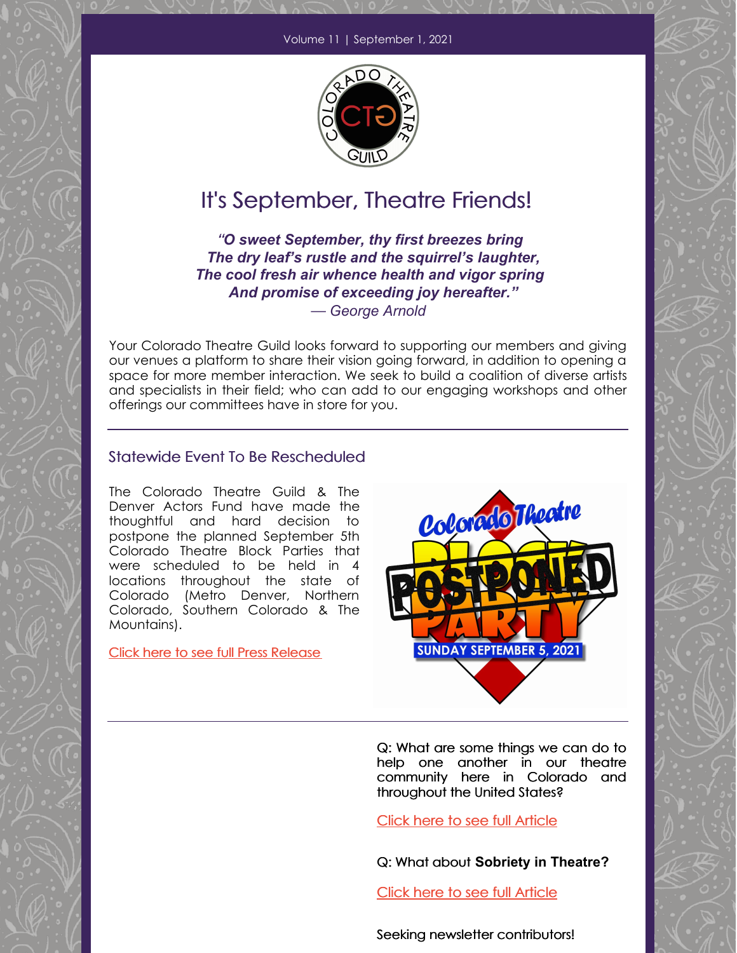

## It's September, Theatre Friends!

"*O sweet September, thy first breezes bring The dry leaf's rustle and the squirrel's laughter, The cool fresh air whence health and vigor spring And promise of exceeding joy hereafter."* — *George Arnold*

Your Colorado Theatre Guild looks forward to supporting our members and giving our venues a platform to share their vision going forward, in addition to opening a space for more member interaction. We seek to build a coalition of diverse artists and specialists in their field; who can add to our engaging workshops and other offerings our committees have in store for you.

#### Statewide Event To Be Rescheduled

The Colorado Theatre Guild & The Denver Actors Fund have made the thoughtful and hard decision to postpone the planned September 5th Colorado Theatre Block Parties that were scheduled to be held in 4 locations throughout the state of Colorado (Metro Denver, Northern Colorado, Southern Colorado & The Mountains).

Click here to see full Press Release



Q: What are some things we can do to help one another in our theatre community here in Colorado and throughout the United States?

Click here to see full Article

Q: What about **Sobriety in Theatre?**

Click here to see full Article

Seeking newsletter contributors!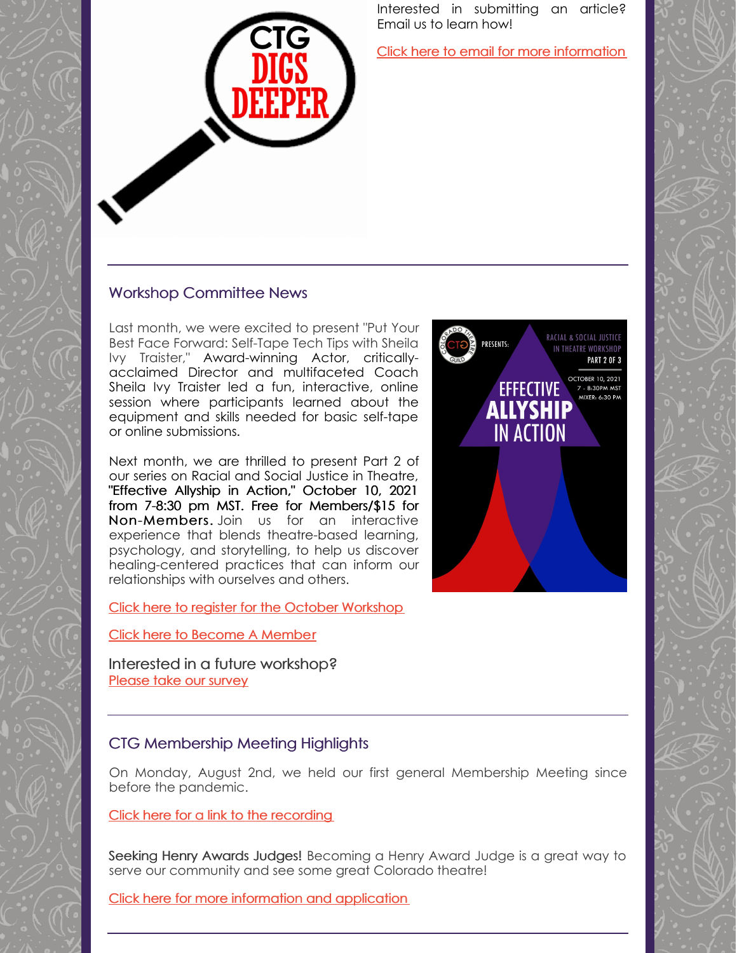Interested in submitting an article? Email us to learn how!

Click here to email for more information

### Workshop Committee News

Last month, we were excited to present "Put Your Best Face Forward: Self-Tape Tech Tips with Sheila Ivy Traister," Award-winning Actor, criticallyacclaimed Director and multifaceted Coach Sheila Ivy Traister led a fun, interactive, online session where participants learned about the equipment and skills needed for basic self-tape or online submissions.

Next month, we are thrilled to present Part 2 of our series on Racial and Social Justice in Theatre, "Effective Allyship in Action," October 10, 2021 from 7-8:30 pm MST. Free for Members/\$15 for Non-Members. Join us for an interactive experience that blends theatre-based learning, psychology, and storytelling, to help us discover healing-centered practices that can inform our relationships with ourselves and others.

Click here to register for the October Workshop

#### Click here to Become A Member

Interested in a future workshop? Please take our survey

#### CTG Membership Meeting Highlights

On Monday, August 2nd, we held our first general Membership Meeting since before the pandemic.

Click here for a link to the recording

Seeking Henry Awards Judges! Becoming a Henry Award Judge is a great way to serve our community and see some great Colorado theatre!

Click here for more information and application